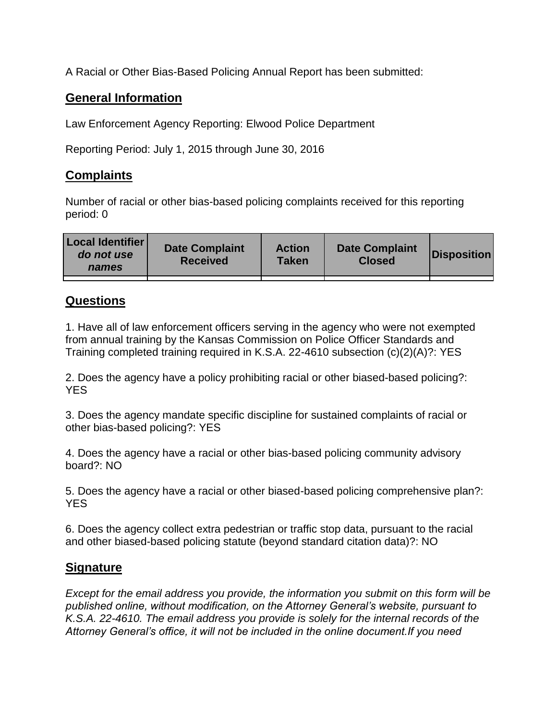A Racial or Other Bias-Based Policing Annual Report has been submitted:

## **General Information**

Law Enforcement Agency Reporting: Elwood Police Department

Reporting Period: July 1, 2015 through June 30, 2016

## **Complaints**

Number of racial or other bias-based policing complaints received for this reporting period: 0

| <b>Local Identifier</b><br>do not use<br>names | <b>Date Complaint</b><br><b>Received</b> | <b>Action</b><br><b>Taken</b> | <b>Date Complaint</b><br><b>Closed</b> | Disposition |
|------------------------------------------------|------------------------------------------|-------------------------------|----------------------------------------|-------------|
|                                                |                                          |                               |                                        |             |

## **Questions**

1. Have all of law enforcement officers serving in the agency who were not exempted from annual training by the Kansas Commission on Police Officer Standards and Training completed training required in K.S.A. 22-4610 subsection (c)(2)(A)?: YES

2. Does the agency have a policy prohibiting racial or other biased-based policing?: YES

3. Does the agency mandate specific discipline for sustained complaints of racial or other bias-based policing?: YES

4. Does the agency have a racial or other bias-based policing community advisory board?: NO

5. Does the agency have a racial or other biased-based policing comprehensive plan?: YES

6. Does the agency collect extra pedestrian or traffic stop data, pursuant to the racial and other biased-based policing statute (beyond standard citation data)?: NO

## **Signature**

*Except for the email address you provide, the information you submit on this form will be published online, without modification, on the Attorney General's website, pursuant to K.S.A. 22-4610. The email address you provide is solely for the internal records of the Attorney General's office, it will not be included in the online document.If you need*